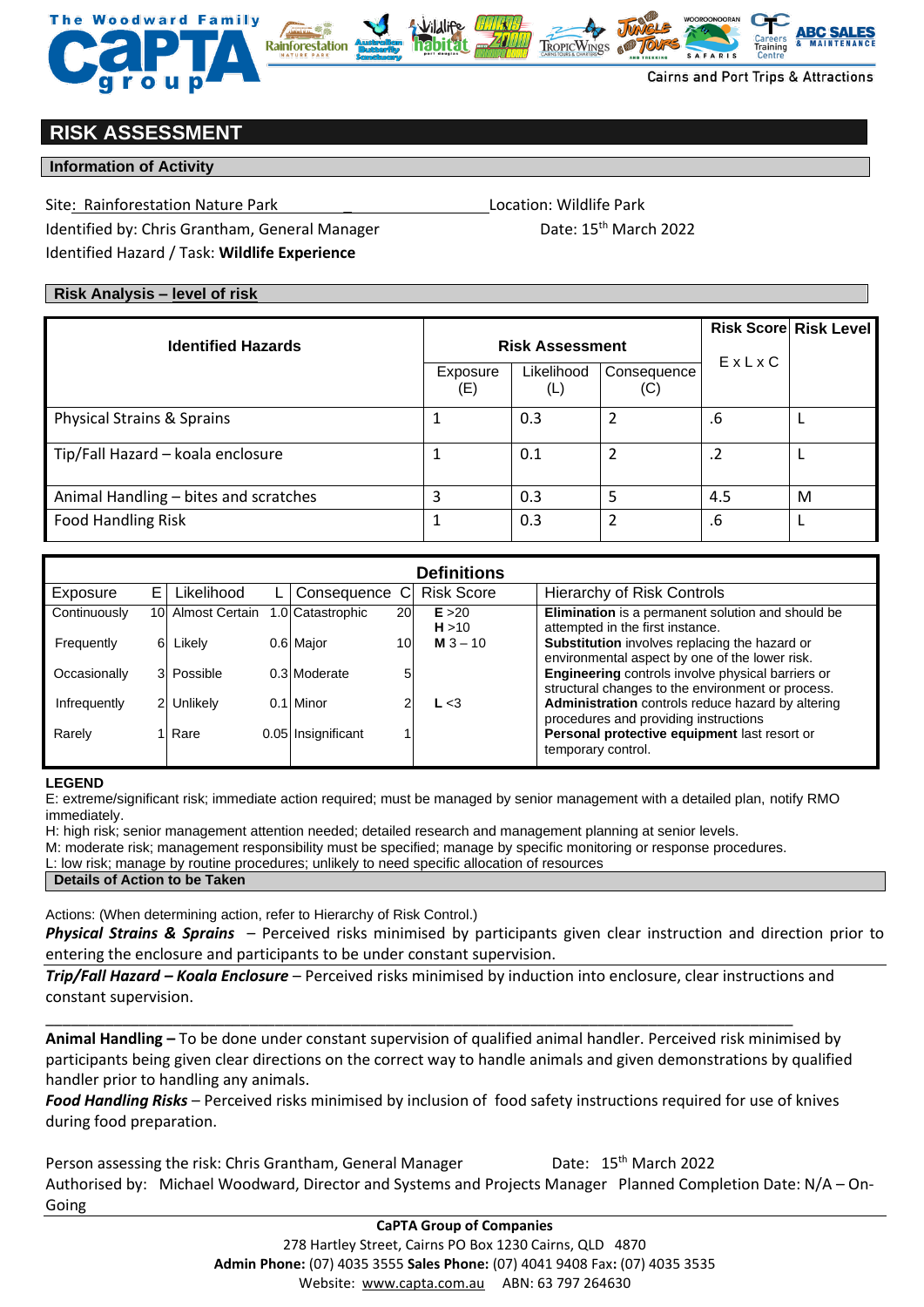



# **RISK ASSESSMENT**

## **Information of Activity**

Site: Rainforestation Nature Park **Nature Park** 2002 10 Location: Wildlife Park

Identified by: Chris Grantham, General Manager Date: 15<sup>th</sup> March 2022 Identified Hazard / Task: **Wildlife Experience**

## **Risk Analysis – level of risk**

|                                       |                 |                        |                    |            | <b>Risk Score Risk Level</b> |
|---------------------------------------|-----------------|------------------------|--------------------|------------|------------------------------|
| <b>Identified Hazards</b>             |                 | <b>Risk Assessment</b> |                    |            |                              |
|                                       | Exposure<br>(E) | Likelihood<br>(L)      | Consequence<br>(C) | EXLXC      |                              |
| Physical Strains & Sprains            |                 | 0.3                    |                    | .6         |                              |
| Tip/Fall Hazard - koala enclosure     |                 | 0.1                    |                    | $\cdot$ .2 |                              |
| Animal Handling - bites and scratches |                 | 0.3                    |                    | 4.5        | M                            |
| <b>Food Handling Risk</b>             |                 | 0.3                    |                    | .6         |                              |

| <b>Definitions</b> |                |                   |                |                    |           |                   |                                                                                                        |  |  |  |
|--------------------|----------------|-------------------|----------------|--------------------|-----------|-------------------|--------------------------------------------------------------------------------------------------------|--|--|--|
| Exposure           | E.             | Likelihood        | $\mathsf{L}^+$ | Consequence C      |           | <b>Risk Score</b> | Hierarchy of Risk Controls                                                                             |  |  |  |
| Continuously       |                | 10 Almost Certain |                | 1.0 Catastrophic   | <b>20</b> | E > 20<br>H > 10  | Elimination is a permanent solution and should be<br>attempted in the first instance.                  |  |  |  |
| Frequently         | 61             | Likely            |                | 0.6 Major          | 10        | <b>M</b> $3 - 10$ | Substitution involves replacing the hazard or<br>environmental aspect by one of the lower risk.        |  |  |  |
| Occasionally       |                | 3 Possible        |                | 0.3 Moderate       | 5         |                   | Engineering controls involve physical barriers or<br>structural changes to the environment or process. |  |  |  |
| Infrequently       | $\overline{2}$ | Unlikely          | 0.11           | Minor              |           | L < 3             | Administration controls reduce hazard by altering<br>procedures and providing instructions             |  |  |  |
| Rarely             |                | Rare              |                | 0.05 Insignificant |           |                   | Personal protective equipment last resort or<br>temporary control.                                     |  |  |  |

#### **LEGEND**

Going

E: extreme/significant risk; immediate action required; must be managed by senior management with a detailed plan, notify RMO immediately.

H: high risk; senior management attention needed; detailed research and management planning at senior levels.

M: moderate risk; management responsibility must be specified; manage by specific monitoring or response procedures.

L: low risk; manage by routine procedures; unlikely to need specific allocation of resources

### **Details of Action to be Taken**

Actions: (When determining action, refer to Hierarchy of Risk Control.)

*Physical Strains & Sprains* – Perceived risks minimised by participants given clear instruction and direction prior to entering the enclosure and participants to be under constant supervision.

*Trip/Fall Hazard – Koala Enclosure* – Perceived risks minimised by induction into enclosure, clear instructions and constant supervision.

\_\_\_\_\_\_\_\_\_\_\_\_\_\_\_\_\_\_\_\_\_\_\_\_\_\_\_\_\_\_\_\_\_\_\_\_\_\_\_\_\_\_\_\_\_\_\_\_\_\_\_\_\_\_\_\_\_\_\_\_\_\_\_\_\_\_\_\_\_\_\_\_\_\_\_\_\_\_\_\_\_\_\_\_\_\_\_\_

**Animal Handling –** To be done under constant supervision of qualified animal handler. Perceived risk minimised by participants being given clear directions on the correct way to handle animals and given demonstrations by qualified handler prior to handling any animals.

*Food Handling Risks* – Perceived risks minimised by inclusion of food safety instructions required for use of knives during food preparation.

Person assessing the risk: Chris Grantham, General Manager Date: 15<sup>th</sup> March 2022

Authorised by: Michael Woodward, Director and Systems and Projects Manager Planned Completion Date: N/A – On-

**CaPTA Group of Companies** 278 Hartley Street, Cairns PO Box 1230 Cairns, QLD 4870 **Admin Phone:** (07) 4035 3555 **Sales Phone:** (07) 4041 9408 Fax**:** (07) 4035 3535 Website: [www.capta.com.au](http://www.capta.com.au/) ABN: 63 797 264630